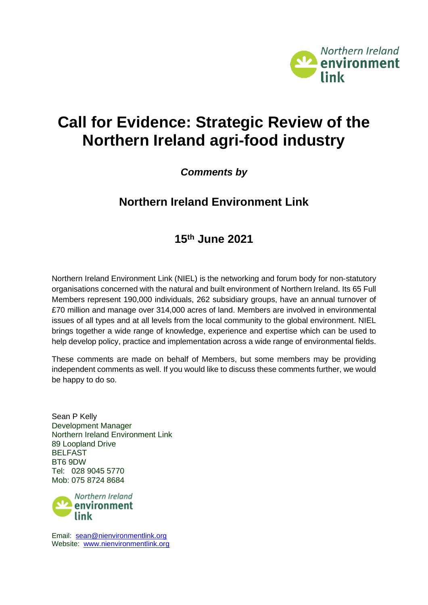

# **Call for Evidence: Strategic Review of the Northern Ireland agri-food industry**

## *Comments by*

## **Northern Ireland Environment Link**

## **15 th June 2021**

Northern Ireland Environment Link (NIEL) is the networking and forum body for non‐statutory organisations concerned with the natural and built environment of Northern Ireland. Its 65 Full Members represent 190,000 individuals, 262 subsidiary groups, have an annual turnover of £70 million and manage over 314,000 acres of land. Members are involved in environmental issues of all types and at all levels from the local community to the global environment. NIEL brings together a wide range of knowledge, experience and expertise which can be used to help develop policy, practice and implementation across a wide range of environmental fields.

These comments are made on behalf of Members, but some members may be providing independent comments as well. If you would like to discuss these comments further, we would be happy to do so.

Sean P Kelly Development Manager Northern Ireland Environment Link 89 Loopland Drive **BELFAST** BT6 9DW Tel: 028 9045 5770 Mob: 075 8724 8684



Email: [sean@nienvironmentlink.org](mailto:sean@nienvironmentlink.org) Website: [www.nienvironmentlink.org](http://www.nienvironmentlink.org/)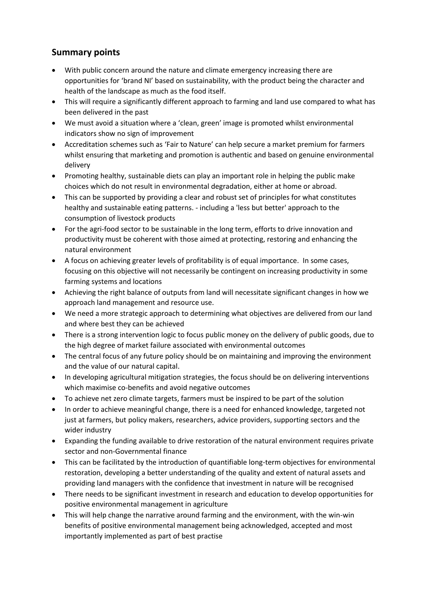## **Summary points**

- With public concern around the nature and climate emergency increasing there are opportunities for 'brand NI' based on sustainability, with the product being the character and health of the landscape as much as the food itself.
- This will require a significantly different approach to farming and land use compared to what has been delivered in the past
- We must avoid a situation where a 'clean, green' image is promoted whilst environmental indicators show no sign of improvement
- Accreditation schemes such as 'Fair to Nature' can help secure a market premium for farmers whilst ensuring that marketing and promotion is authentic and based on genuine environmental delivery
- Promoting healthy, sustainable diets can play an important role in helping the public make choices which do not result in environmental degradation, either at home or abroad.
- This can be supported by providing a clear and robust set of principles for what constitutes healthy and sustainable eating patterns. - including a 'less but better' approach to the consumption of livestock products
- For the agri-food sector to be sustainable in the long term, efforts to drive innovation and productivity must be coherent with those aimed at protecting, restoring and enhancing the natural environment
- A focus on achieving greater levels of profitability is of equal importance. In some cases, focusing on this objective will not necessarily be contingent on increasing productivity in some farming systems and locations
- Achieving the right balance of outputs from land will necessitate significant changes in how we approach land management and resource use.
- We need a more strategic approach to determining what objectives are delivered from our land and where best they can be achieved
- There is a strong intervention logic to focus public money on the delivery of public goods, due to the high degree of market failure associated with environmental outcomes
- The central focus of any future policy should be on maintaining and improving the environment and the value of our natural capital.
- In developing agricultural mitigation strategies, the focus should be on delivering interventions which maximise co-benefits and avoid negative outcomes
- To achieve net zero climate targets, farmers must be inspired to be part of the solution
- In order to achieve meaningful change, there is a need for enhanced knowledge, targeted not just at farmers, but policy makers, researchers, advice providers, supporting sectors and the wider industry
- Expanding the funding available to drive restoration of the natural environment requires private sector and non-Governmental finance
- This can be facilitated by the introduction of quantifiable long-term objectives for environmental restoration, developing a better understanding of the quality and extent of natural assets and providing land managers with the confidence that investment in nature will be recognised
- There needs to be significant investment in research and education to develop opportunities for positive environmental management in agriculture
- This will help change the narrative around farming and the environment, with the win-win benefits of positive environmental management being acknowledged, accepted and most importantly implemented as part of best practise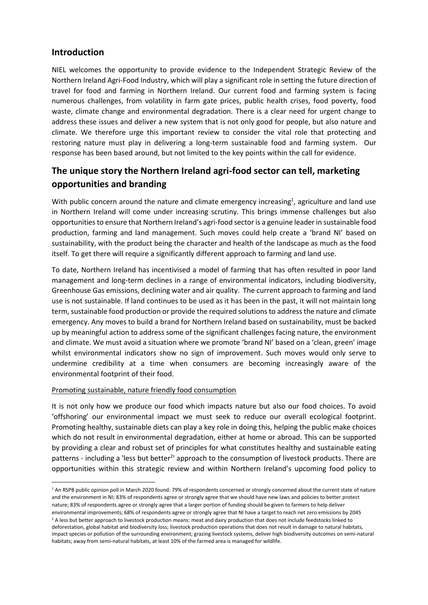### **Introduction**

NIEL welcomes the opportunity to provide evidence to the Independent Strategic Review of the Northern Ireland Agri-Food Industry, which will play a significant role in setting the future direction of travel for food and farming in Northern Ireland. Our current food and farming system is facing numerous challenges, from volatility in farm gate prices, public health crises, food poverty, food waste, climate change and environmental degradation. There is a clear need for urgent change to address these issues and deliver a new system that is not only good for people, but also nature and climate. We therefore urge this important review to consider the vital role that protecting and restoring nature must play in delivering a long-term sustainable food and farming system. Our response has been based around, but not limited to the key points within the call for evidence.

## **The unique story the Northern Ireland agri-food sector can tell, marketing opportunities and branding**

With public concern around the nature and climate emergency increasing<sup>1</sup>, agriculture and land use in Northern Ireland will come under increasing scrutiny. This brings immense challenges but also opportunities to ensure that Northern Ireland's agri-food sector is a genuine leader in sustainable food production, farming and land management. Such moves could help create a 'brand NI' based on sustainability, with the product being the character and health of the landscape as much as the food itself. To get there will require a significantly different approach to farming and land use.

To date, Northern Ireland has incentivised a model of farming that has often resulted in poor land management and long-term declines in a range of environmental indicators, including biodiversity, Greenhouse Gas emissions, declining water and air quality. The current approach to farming and land use is not sustainable. If land continues to be used as it has been in the past, it will not maintain long term, sustainable food production or provide the required solutions to address the nature and climate emergency. Any moves to build a brand for Northern Ireland based on sustainability, must be backed up by meaningful action to address some of the significant challenges facing nature, the environment and climate. We must avoid a situation where we promote 'brand NI' based on a 'clean, green' image whilst environmental indicators show no sign of improvement. Such moves would only serve to undermine credibility at a time when consumers are becoming increasingly aware of the environmental footprint of their food.

#### Promoting sustainable, nature friendly food consumption

It is not only how we produce our food which impacts nature but also our food choices. To avoid 'offshoring' our environmental impact we must seek to reduce our overall ecological footprint. Promoting healthy, sustainable diets can play a key role in doing this, helping the public make choices which do not result in environmental degradation, either at home or abroad. This can be supported by providing a clear and robust set of principles for what constitutes healthy and sustainable eating patterns - including a 'less but better<sup>2</sup>' approach to the consumption of livestock products. There are opportunities within this strategic review and within Northern Ireland's upcoming food policy to

<sup>&</sup>lt;sup>1</sup> An RSPB public opinion poll in March 2020 found: 79% of respondents concerned or strongly concerned about the current state of nature and the environment in NI; 83% of respondents agree or strongly agree that we should have new laws and policies to better protect nature; 83% of respondents agree or strongly agree that a larger portion of funding should be given to farmers to help deliver

environmental improvements; 68% of respondents agree or strongly agree that NI have a target to reach net zero emissions by 2045 <sup>2</sup> A less but better approach to livestock production means: meat and dairy production that does not include feedstocks linked to deforestation, global habitat and biodiversity loss; livestock production operations that does not result in damage to natural habitats, impact species or pollution of the surrounding environment; grazing livestock systems, deliver high biodiversity outcomes on semi-natural habitats; away from semi-natural habitats, at least 10% of the farmed area is managed for wildlife.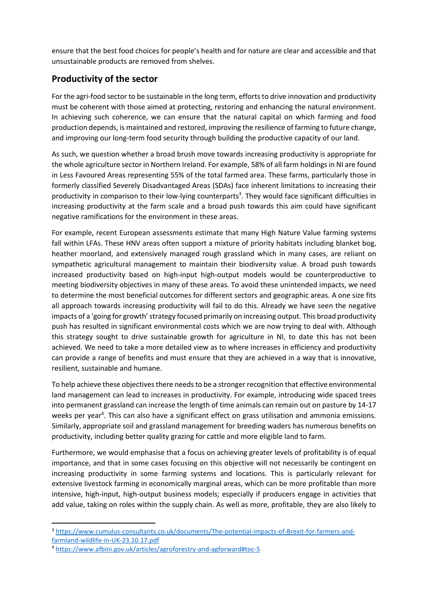ensure that the best food choices for people's health and for nature are clear and accessible and that unsustainable products are removed from shelves.

## **Productivity of the sector**

For the agri-food sector to be sustainable in the long term, efforts to drive innovation and productivity must be coherent with those aimed at protecting, restoring and enhancing the natural environment. In achieving such coherence, we can ensure that the natural capital on which farming and food production depends, is maintained and restored, improving the resilience of farming to future change, and improving our long-term food security through building the productive capacity of our land.

As such, we question whether a broad brush move towards increasing productivity is appropriate for the whole agriculture sector in Northern Ireland. For example, 58% of all farm holdings in NI are found in Less Favoured Areas representing 55% of the total farmed area. These farms, particularly those in formerly classified Severely Disadvantaged Areas (SDAs) face inherent limitations to increasing their productivity in comparison to their low-lying counterparts<sup>3</sup>. They would face significant difficulties in increasing productivity at the farm scale and a broad push towards this aim could have significant negative ramifications for the environment in these areas.

For example, recent European assessments estimate that many High Nature Value farming systems fall within LFAs. These HNV areas often support a mixture of priority habitats including blanket bog, heather moorland, and extensively managed rough grassland which in many cases, are reliant on sympathetic agricultural management to maintain their biodiversity value. A broad push towards increased productivity based on high-input high-output models would be counterproductive to meeting biodiversity objectives in many of these areas. To avoid these unintended impacts, we need to determine the most beneficial outcomes for different sectors and geographic areas. A one size fits all approach towards increasing productivity will fail to do this. Already we have seen the negative impacts of a 'going for growth' strategy focused primarily on increasing output. This broad productivity push has resulted in significant environmental costs which we are now trying to deal with. Although this strategy sought to drive sustainable growth for agriculture in NI, to date this has not been achieved. We need to take a more detailed view as to where increases in efficiency and productivity can provide a range of benefits and must ensure that they are achieved in a way that is innovative, resilient, sustainable and humane.

To help achieve these objectives there needs to be a stronger recognition that effective environmental land management can lead to increases in productivity. For example, introducing wide spaced trees into permanent grassland can increase the length of time animals can remain out on pasture by 14-17 weeks per year<sup>4</sup>. This can also have a significant effect on grass utilisation and ammonia emissions. Similarly, appropriate soil and grassland management for breeding waders has numerous benefits on productivity, including better quality grazing for cattle and more eligible land to farm.

Furthermore, we would emphasise that a focus on achieving greater levels of profitability is of equal importance, and that in some cases focusing on this objective will not necessarily be contingent on increasing productivity in some farming systems and locations. This is particularly relevant for extensive livestock farming in economically marginal areas, which can be more profitable than more intensive, high-input, high-output business models; especially if producers engage in activities that add value, taking on roles within the supply chain. As well as more, profitable, they are also likely to

<sup>3</sup> [https://www.cumulus-consultants.co.uk/documents/The-potential-impacts-of-Brexit-for-farmers-and](https://www.cumulus-consultants.co.uk/documents/The-potential-impacts-of-Brexit-for-farmers-and-farmland-wildlife-in-UK-23.10.17.pdf)[farmland-wildlife-in-UK-23.10.17.pdf](https://www.cumulus-consultants.co.uk/documents/The-potential-impacts-of-Brexit-for-farmers-and-farmland-wildlife-in-UK-23.10.17.pdf)

<sup>4</sup> <https://www.afbini.gov.uk/articles/agroforestry-and-agforward#toc-5>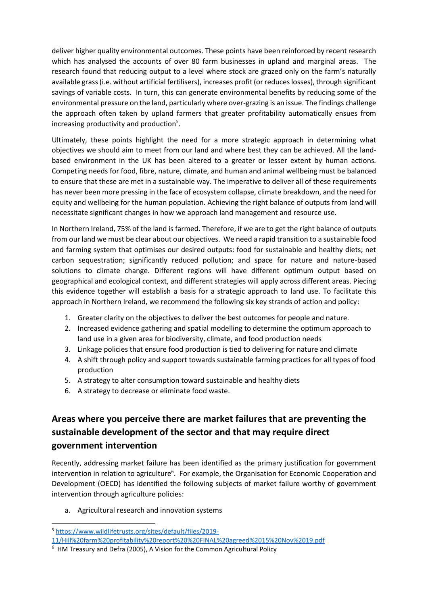deliver higher quality environmental outcomes. These points have been reinforced by recent research which has analysed the accounts of over 80 farm businesses in upland and marginal areas. The research found that reducing output to a level where stock are grazed only on the farm's naturally available grass (i.e. without artificial fertilisers), increases profit (or reduces losses), through significant savings of variable costs. In turn, this can generate environmental benefits by reducing some of the environmental pressure on the land, particularly where over-grazing is an issue. The findings challenge the approach often taken by upland farmers that greater profitability automatically ensues from increasing productivity and production<sup>5</sup>.

Ultimately, these points highlight the need for a more strategic approach in determining what objectives we should aim to meet from our land and where best they can be achieved. All the landbased environment in the UK has been altered to a greater or lesser extent by human actions*.* Competing needs for food, fibre, nature, climate, and human and animal wellbeing must be balanced to ensure that these are met in a sustainable way. The imperative to deliver all of these requirements has never been more pressing in the face of ecosystem collapse, climate breakdown, and the need for equity and wellbeing for the human population. Achieving the right balance of outputs from land will necessitate significant changes in how we approach land management and resource use.

In Northern Ireland, 75% of the land is farmed. Therefore, if we are to get the right balance of outputs from our land we must be clear about our objectives. We need a rapid transition to a sustainable food and farming system that optimises our desired outputs: food for sustainable and healthy diets; net carbon sequestration; significantly reduced pollution; and space for nature and nature-based solutions to climate change. Different regions will have different optimum output based on geographical and ecological context, and different strategies will apply across different areas. Piecing this evidence together will establish a basis for a strategic approach to land use. To facilitate this approach in Northern Ireland, we recommend the following six key strands of action and policy:

- 1. Greater clarity on the objectives to deliver the best outcomes for people and nature.
- 2. Increased evidence gathering and spatial modelling to determine the optimum approach to land use in a given area for biodiversity, climate, and food production needs
- 3. Linkage policies that ensure food production is tied to delivering for nature and climate
- 4. A shift through policy and support towards sustainable farming practices for all types of food production
- 5. A strategy to alter consumption toward sustainable and healthy diets
- 6. A strategy to decrease or eliminate food waste.

## **Areas where you perceive there are market failures that are preventing the sustainable development of the sector and that may require direct government intervention**

Recently, addressing market failure has been identified as the primary justification for government intervention in relation to agriculture<sup>6</sup>. For example, the Organisation for Economic Cooperation and Development (OECD) has identified the following subjects of market failure worthy of government intervention through agriculture policies:

a. Agricultural research and innovation systems

<sup>5</sup> [https://www.wildlifetrusts.org/sites/default/files/2019-](https://www.wildlifetrusts.org/sites/default/files/2019-11/Hill%20farm%20profitability%20report%20%20FINAL%20agreed%2015%20Nov%2019.pdf)

[<sup>11/</sup>Hill%20farm%20profitability%20report%20%20FINAL%20agreed%2015%20Nov%2019.pdf](https://www.wildlifetrusts.org/sites/default/files/2019-11/Hill%20farm%20profitability%20report%20%20FINAL%20agreed%2015%20Nov%2019.pdf)

<sup>&</sup>lt;sup>6</sup> HM Treasury and Defra (2005), A Vision for the Common Agricultural Policy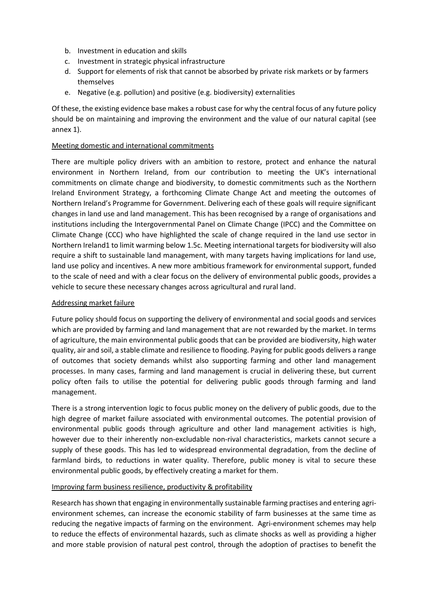- b. Investment in education and skills
- c. Investment in strategic physical infrastructure
- d. Support for elements of risk that cannot be absorbed by private risk markets or by farmers themselves
- e. Negative (e.g. pollution) and positive (e.g. biodiversity) externalities

Of these, the existing evidence base makes a robust case for why the central focus of any future policy should be on maintaining and improving the environment and the value of our natural capital (see annex 1).

#### Meeting domestic and international commitments

There are multiple policy drivers with an ambition to restore, protect and enhance the natural environment in Northern Ireland, from our contribution to meeting the UK's international commitments on climate change and biodiversity, to domestic commitments such as the Northern Ireland Environment Strategy, a forthcoming Climate Change Act and meeting the outcomes of Northern Ireland's Programme for Government. Delivering each of these goals will require significant changes in land use and land management. This has been recognised by a range of organisations and institutions including the Intergovernmental Panel on Climate Change (IPCC) and the Committee on Climate Change (CCC) who have highlighted the scale of change required in the land use sector in Northern Ireland1 to limit warming below 1.5c. Meeting international targets for biodiversity will also require a shift to sustainable land management, with many targets having implications for land use, land use policy and incentives. A new more ambitious framework for environmental support, funded to the scale of need and with a clear focus on the delivery of environmental public goods, provides a vehicle to secure these necessary changes across agricultural and rural land.

#### Addressing market failure

Future policy should focus on supporting the delivery of environmental and social goods and services which are provided by farming and land management that are not rewarded by the market. In terms of agriculture, the main environmental public goods that can be provided are biodiversity, high water quality, air and soil, a stable climate and resilience to flooding. Paying for public goods delivers a range of outcomes that society demands whilst also supporting farming and other land management processes. In many cases, farming and land management is crucial in delivering these, but current policy often fails to utilise the potential for delivering public goods through farming and land management.

There is a strong intervention logic to focus public money on the delivery of public goods, due to the high degree of market failure associated with environmental outcomes. The potential provision of environmental public goods through agriculture and other land management activities is high, however due to their inherently non-excludable non-rival characteristics, markets cannot secure a supply of these goods. This has led to widespread environmental degradation, from the decline of farmland birds, to reductions in water quality. Therefore, public money is vital to secure these environmental public goods, by effectively creating a market for them.

#### Improving farm business resilience, productivity & profitability

Research has shown that engaging in environmentally sustainable farming practises and entering agrienvironment schemes, can increase the economic stability of farm businesses at the same time as reducing the negative impacts of farming on the environment. Agri-environment schemes may help to reduce the effects of environmental hazards, such as climate shocks as well as providing a higher and more stable provision of natural pest control, through the adoption of practises to benefit the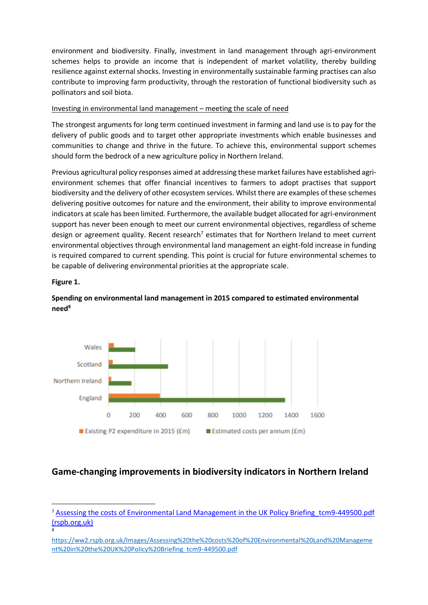environment and biodiversity. Finally, investment in land management through agri-environment schemes helps to provide an income that is independent of market volatility, thereby building resilience against external shocks. Investing in environmentally sustainable farming practises can also contribute to improving farm productivity, through the restoration of functional biodiversity such as pollinators and soil biota.

#### Investing in environmental land management – meeting the scale of need

The strongest arguments for long term continued investment in farming and land use is to pay for the delivery of public goods and to target other appropriate investments which enable businesses and communities to change and thrive in the future. To achieve this, environmental support schemes should form the bedrock of a new agriculture policy in Northern Ireland.

Previous agricultural policy responses aimed at addressing these market failures have established agrienvironment schemes that offer financial incentives to farmers to adopt practises that support biodiversity and the delivery of other ecosystem services. Whilst there are examples of these schemes delivering positive outcomes for nature and the environment, their ability to improve environmental indicators at scale has been limited. Furthermore, the available budget allocated for agri-environment support has never been enough to meet our current environmental objectives, regardless of scheme design or agreement quality. Recent research<sup>7</sup> estimates that for Northern Ireland to meet current environmental objectives through environmental land management an eight-fold increase in funding is required compared to current spending. This point is crucial for future environmental schemes to be capable of delivering environmental priorities at the appropriate scale.

#### **Figure 1.**

8

#### **Spending on environmental land management in 2015 compared to estimated environmental need<sup>8</sup>**



## **Game-changing improvements in biodiversity indicators in Northern Ireland**

<sup>&</sup>lt;sup>7</sup> Assessing the costs of Environmental Land Management in the UK Policy Briefing tcm9-449500.pdf [\(rspb.org.uk\)](https://ww2.rspb.org.uk/Images/Assessing%20the%20costs%20of%20Environmental%20Land%20Management%20in%20the%20UK%20Policy%20Briefing_tcm9-449500.pdf)

[https://ww2.rspb.org.uk/Images/Assessing%20the%20costs%20of%20Environmental%20Land%20Manageme](https://ww2.rspb.org.uk/Images/Assessing%20the%20costs%20of%20Environmental%20Land%20Management%20in%20the%20UK%20Policy%20Briefing_tcm9-449500.pdf) [nt%20in%20the%20UK%20Policy%20Briefing\\_tcm9-449500.pdf](https://ww2.rspb.org.uk/Images/Assessing%20the%20costs%20of%20Environmental%20Land%20Management%20in%20the%20UK%20Policy%20Briefing_tcm9-449500.pdf)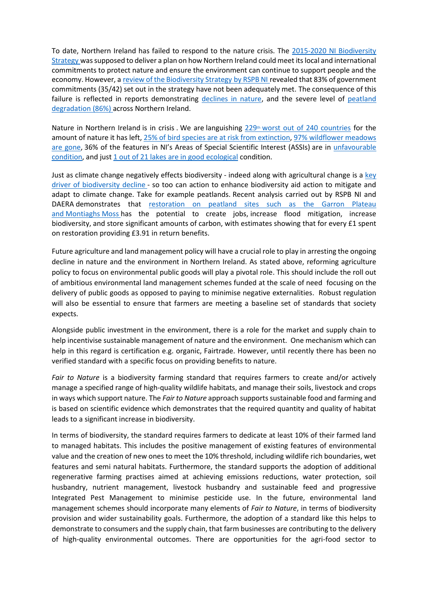To date, Northern Ireland has failed to respond to the nature crisis. The [2015-2020 NI Biodiversity](https://www.daera-ni.gov.uk/sites/default/files/publications/doe/natural-policy-biodiversity-strategy-to-2020-2015.pdf)  [Strategy](https://www.daera-ni.gov.uk/sites/default/files/publications/doe/natural-policy-biodiversity-strategy-to-2020-2015.pdf) was supposed to deliver a plan on how Northern Ireland could meet its local and international commitments to protect nature and ensure the environment can continue to support people and the economy. However, a [review of the Biodiversity Strategy](https://www.rspb.org.uk/about-the-rspb/about-us/media-centre/press-releases/rspb-ni-northern-ireland-biodiversity-strategy-failing-after-years-of-inaction/#:~:text=On%20the%20day%20that%20a,have%20not%20been%20adequately%20met.) by RSPB NI revealed that 83% of government commitments (35/42) set out in the strategy have not been adequately met. The consequence of this failure is reflected in reports demonstrating [declines in nature,](https://nbn.org.uk/wp-content/uploads/2019/09/State-of-Nature-2019-Northern-Ireland-summary.pdf) and the severe level of peatland [degradation](https://www.rspb.org.uk/about-the-rspb/about-us/media-centre/press-releases/peatland-restoration-is-vital-if-northern-ireland-is-serious-about-a-green-recovery/) (86%) across Northern Ireland.

Nature in Northern Ireland is in crisis . We are languishing  $229<sup>th</sup>$  [worst out of 240 countries](https://www.rspb.org.uk/globalassets/downloads/about-us/48398rspb-biodivesity-intactness-index-summary-report-v4.pdf) for the amount of nature it has left, [25% of bird species are at risk from extinction,](https://www.rspb.org.uk/our-work/conservation/projects/birds-of-conservation-concern-ireland/#:~:text=Puffins%2C%20swifts%20and%20kestrels%20are,on%20to%20the%20Red%20list.&text=Swifts%20are%20now%20Red%2Dlisted,of%20extinction%20on%20the%20island) [97% wildflower meadows](https://nbn.org.uk/wp-content/uploads/2019/09/State-of-Nature-2019-UK-full-report.pdf)  [are gone,](https://nbn.org.uk/wp-content/uploads/2019/09/State-of-Nature-2019-UK-full-report.pdf) 36% of the features in NI's Areas of Special Scientific Interest (ASSIs) are in [unfavourable](https://www.daera-ni.gov.uk/sites/default/files/publications/daera/ni-environmental-statistics-report-2021.pdf)  [condition,](https://www.daera-ni.gov.uk/sites/default/files/publications/daera/ni-environmental-statistics-report-2021.pdf) and just [1 out of 21 lakes are in good ecological](https://www.daera-ni.gov.uk/publications/northern-ireland-water-framework-directive-statistics-lake-quality-update-2020) condition.

Just as climate change negatively effects biodiversity - indeed along with agricultural change is a [key](https://nbn.org.uk/wp-content/uploads/2019/09/State-of-Nature-2019-Northern-Ireland-summary.pdf)  [driver of biodiversity decline](https://nbn.org.uk/wp-content/uploads/2019/09/State-of-Nature-2019-Northern-Ireland-summary.pdf) - so too can action to enhance biodiversity aid action to mitigate and adapt to climate change. Take for example peatlands. Recent analysis carried out by RSPB NI and DAERA demonstrates that restoration on peatland sites such as the Garron Plateau and [Montiaghs](file:///C:/Users/jonathanbell/Downloads/xlii%20https:/www.rspb.org.uk/about-the-rspb/at-home-and-abroad/northern-ireland/policyinnorthernireland/valuing-our-peatlands/) Moss has the potential to create jobs, increase flood mitigation, increase biodiversity, and store significant amounts of carbon, with estimates showing that for every £1 spent on restoration providing £3.91 in return benefits.

Future agriculture and land management policy will have a crucial role to play in arresting the ongoing decline in nature and the environment in Northern Ireland. As stated above, reforming agriculture policy to focus on environmental public goods will play a pivotal role. This should include the roll out of ambitious environmental land management schemes funded at the scale of need focusing on the delivery of public goods as opposed to paying to minimise negative externalities. Robust regulation will also be essential to ensure that farmers are meeting a baseline set of standards that society expects.

Alongside public investment in the environment, there is a role for the market and supply chain to help incentivise sustainable management of nature and the environment. One mechanism which can help in this regard is certification e.g. organic, Fairtrade. However, until recently there has been no verified standard with a specific focus on providing benefits to nature.

*Fair to Nature* is a biodiversity farming standard that requires farmers to create and/or actively manage a specified range of high-quality wildlife habitats, and manage their soils, livestock and crops in ways which support nature. The *Fair to Nature* approach supports sustainable food and farming and is based on scientific evidence which demonstrates that the required quantity and quality of habitat leads to a significant increase in biodiversity.

In terms of biodiversity, the standard requires farmers to dedicate at least 10% of their farmed land to managed habitats. This includes the positive management of existing features of environmental value and the creation of new ones to meet the 10% threshold, including wildlife rich boundaries, wet features and semi natural habitats. Furthermore, the standard supports the adoption of additional regenerative farming practises aimed at achieving emissions reductions, water protection, soil husbandry, nutrient management, livestock husbandry and sustainable feed and progressive Integrated Pest Management to minimise pesticide use. In the future, environmental land management schemes should incorporate many elements of *Fair to Nature*, in terms of biodiversity provision and wider sustainability goals. Furthermore, the adoption of a standard like this helps to demonstrate to consumers and the supply chain, that farm businesses are contributing to the delivery of high-quality environmental outcomes. There are opportunities for the agri-food sector to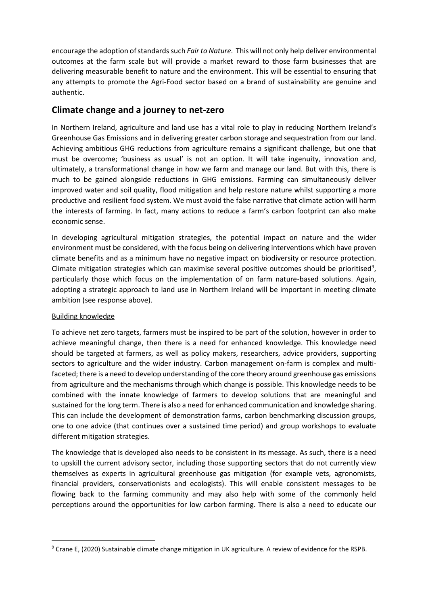encourage the adoption of standards such *Fair to Nature*. This will not only help deliver environmental outcomes at the farm scale but will provide a market reward to those farm businesses that are delivering measurable benefit to nature and the environment. This will be essential to ensuring that any attempts to promote the Agri-Food sector based on a brand of sustainability are genuine and authentic.

### **Climate change and a journey to net-zero**

In Northern Ireland, agriculture and land use has a vital role to play in reducing Northern Ireland's Greenhouse Gas Emissions and in delivering greater carbon storage and sequestration from our land. Achieving ambitious GHG reductions from agriculture remains a significant challenge, but one that must be overcome; 'business as usual' is not an option. It will take ingenuity, innovation and, ultimately, a transformational change in how we farm and manage our land. But with this, there is much to be gained alongside reductions in GHG emissions. Farming can simultaneously deliver improved water and soil quality, flood mitigation and help restore nature whilst supporting a more productive and resilient food system. We must avoid the false narrative that climate action will harm the interests of farming. In fact, many actions to reduce a farm's carbon footprint can also make economic sense.

In developing agricultural mitigation strategies, the potential impact on nature and the wider environment must be considered, with the focus being on delivering interventions which have proven climate benefits and as a minimum have no negative impact on biodiversity or resource protection. Climate mitigation strategies which can maximise several positive outcomes should be prioritised<sup>9</sup>, particularly those which focus on the implementation of on farm nature-based solutions. Again, adopting a strategic approach to land use in Northern Ireland will be important in meeting climate ambition (see response above).

#### Building knowledge

To achieve net zero targets, farmers must be inspired to be part of the solution, however in order to achieve meaningful change, then there is a need for enhanced knowledge. This knowledge need should be targeted at farmers, as well as policy makers, researchers, advice providers, supporting sectors to agriculture and the wider industry. Carbon management on-farm is complex and multifaceted; there is a need to develop understanding of the core theory around greenhouse gas emissions from agriculture and the mechanisms through which change is possible. This knowledge needs to be combined with the innate knowledge of farmers to develop solutions that are meaningful and sustained for the long term. There is also a need for enhanced communication and knowledge sharing. This can include the development of demonstration farms, carbon benchmarking discussion groups, one to one advice (that continues over a sustained time period) and group workshops to evaluate different mitigation strategies.

The knowledge that is developed also needs to be consistent in its message. As such, there is a need to upskill the current advisory sector, including those supporting sectors that do not currently view themselves as experts in agricultural greenhouse gas mitigation (for example vets, agronomists, financial providers, conservationists and ecologists). This will enable consistent messages to be flowing back to the farming community and may also help with some of the commonly held perceptions around the opportunities for low carbon farming. There is also a need to educate our

<sup>9</sup> Crane E, (2020) Sustainable climate change mitigation in UK agriculture. A review of evidence for the RSPB.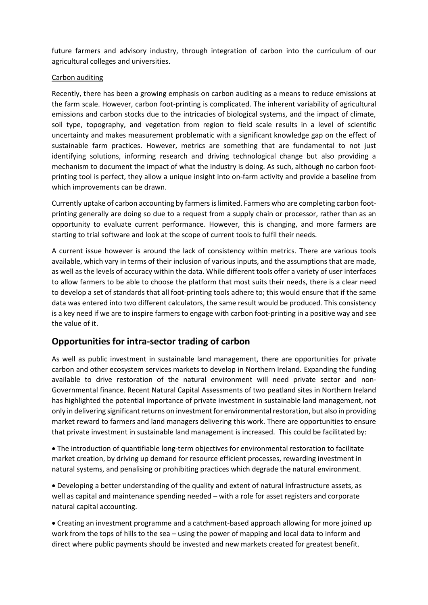future farmers and advisory industry, through integration of carbon into the curriculum of our agricultural colleges and universities.

#### Carbon auditing

Recently, there has been a growing emphasis on carbon auditing as a means to reduce emissions at the farm scale. However, carbon foot-printing is complicated. The inherent variability of agricultural emissions and carbon stocks due to the intricacies of biological systems, and the impact of climate, soil type, topography, and vegetation from region to field scale results in a level of scientific uncertainty and makes measurement problematic with a significant knowledge gap on the effect of sustainable farm practices. However, metrics are something that are fundamental to not just identifying solutions, informing research and driving technological change but also providing a mechanism to document the impact of what the industry is doing. As such, although no carbon footprinting tool is perfect, they allow a unique insight into on-farm activity and provide a baseline from which improvements can be drawn.

Currently uptake of carbon accounting by farmers is limited. Farmers who are completing carbon footprinting generally are doing so due to a request from a supply chain or processor, rather than as an opportunity to evaluate current performance. However, this is changing, and more farmers are starting to trial software and look at the scope of current tools to fulfil their needs.

A current issue however is around the lack of consistency within metrics. There are various tools available, which vary in terms of their inclusion of various inputs, and the assumptions that are made, as well as the levels of accuracy within the data. While different tools offer a variety of user interfaces to allow farmers to be able to choose the platform that most suits their needs, there is a clear need to develop a set of standards that all foot-printing tools adhere to; this would ensure that if the same data was entered into two different calculators, the same result would be produced. This consistency is a key need if we are to inspire farmers to engage with carbon foot-printing in a positive way and see the value of it.

### **Opportunities for intra-sector trading of carbon**

As well as public investment in sustainable land management, there are opportunities for private carbon and other ecosystem services markets to develop in Northern Ireland. Expanding the funding available to drive restoration of the natural environment will need private sector and non-Governmental finance. Recent Natural Capital Assessments of two peatland sites in Northern Ireland has highlighted the potential importance of private investment in sustainable land management, not only in delivering significant returns on investment for environmental restoration, but also in providing market reward to farmers and land managers delivering this work. There are opportunities to ensure that private investment in sustainable land management is increased. This could be facilitated by:

• The introduction of quantifiable long-term objectives for environmental restoration to facilitate market creation, by driving up demand for resource efficient processes, rewarding investment in natural systems, and penalising or prohibiting practices which degrade the natural environment.

• Developing a better understanding of the quality and extent of natural infrastructure assets, as well as capital and maintenance spending needed – with a role for asset registers and corporate natural capital accounting.

• Creating an investment programme and a catchment-based approach allowing for more joined up work from the tops of hills to the sea – using the power of mapping and local data to inform and direct where public payments should be invested and new markets created for greatest benefit.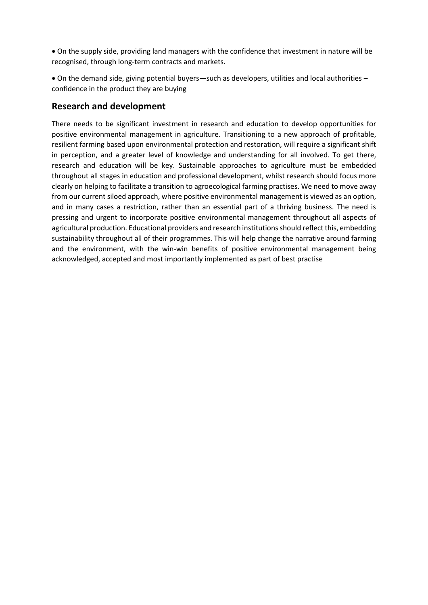• On the supply side, providing land managers with the confidence that investment in nature will be recognised, through long-term contracts and markets.

• On the demand side, giving potential buyers—such as developers, utilities and local authorities – confidence in the product they are buying

### **Research and development**

There needs to be significant investment in research and education to develop opportunities for positive environmental management in agriculture. Transitioning to a new approach of profitable, resilient farming based upon environmental protection and restoration, will require a significant shift in perception, and a greater level of knowledge and understanding for all involved. To get there, research and education will be key. Sustainable approaches to agriculture must be embedded throughout all stages in education and professional development, whilst research should focus more clearly on helping to facilitate a transition to agroecological farming practises. We need to move away from our current siloed approach, where positive environmental management is viewed as an option, and in many cases a restriction, rather than an essential part of a thriving business. The need is pressing and urgent to incorporate positive environmental management throughout all aspects of agricultural production. Educational providers and research institutions should reflect this, embedding sustainability throughout all of their programmes. This will help change the narrative around farming and the environment, with the win-win benefits of positive environmental management being acknowledged, accepted and most importantly implemented as part of best practise